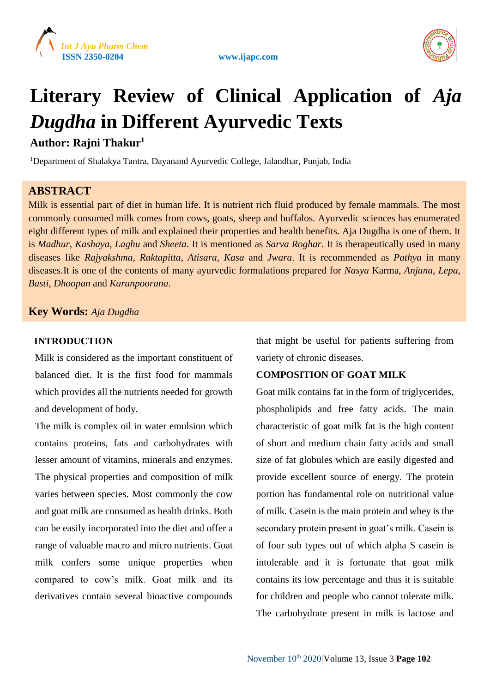





# **Literary Review of Clinical Application of** *Aja Dugdha* **in Different Ayurvedic Texts**

## **Author: Rajni Thakur<sup>1</sup>**

<sup>1</sup>Department of Shalakya Tantra, Dayanand Ayurvedic College, Jalandhar, Punjab, India

## **ABSTRACT**

Milk is essential part of diet in human life. It is nutrient rich fluid produced by female mammals. The most commonly consumed milk comes from cows, goats, sheep and buffalos. Ayurvedic sciences has enumerated eight different types of milk and explained their properties and health benefits. Aja Dugdha is one of them. It is *Madhur*, *Kashaya*, *Laghu* and *Sheeta*. It is mentioned as *Sarva Roghar*. It is therapeutically used in many diseases like *Rajyakshma*, *Raktapitta*, *Atisara*, *Kasa* and *Jwara*. It is recommended as *Pathya* in many diseases.It is one of the contents of many ayurvedic formulations prepared for *Nasya* Karma, *Anjana*, *Lepa*, *Basti*, *Dhoopan* and *Karanpoorana*.

## **Key Words:** *Aja Dugdha*

### **INTRODUCTION**

Milk is considered as the important constituent of balanced diet. It is the first food for mammals which provides all the nutrients needed for growth and development of body.

The milk is complex oil in water emulsion which contains proteins, fats and carbohydrates with lesser amount of vitamins, minerals and enzymes. The physical properties and composition of milk varies between species. Most commonly the cow and goat milk are consumed as health drinks. Both can be easily incorporated into the diet and offer a range of valuable macro and micro nutrients. Goat milk confers some unique properties when compared to cow's milk. Goat milk and its derivatives contain several bioactive compounds

that might be useful for patients suffering from variety of chronic diseases.

## **COMPOSITION OF GOAT MILK**

Goat milk contains fat in the form of triglycerides, phospholipids and free fatty acids. The main characteristic of goat milk fat is the high content of short and medium chain fatty acids and small size of fat globules which are easily digested and provide excellent source of energy. The protein portion has fundamental role on nutritional value of milk. Casein is the main protein and whey is the secondary protein present in goat's milk. Casein is of four sub types out of which alpha S casein is intolerable and it is fortunate that goat milk contains its low percentage and thus it is suitable for children and people who cannot tolerate milk. The carbohydrate present in milk is lactose and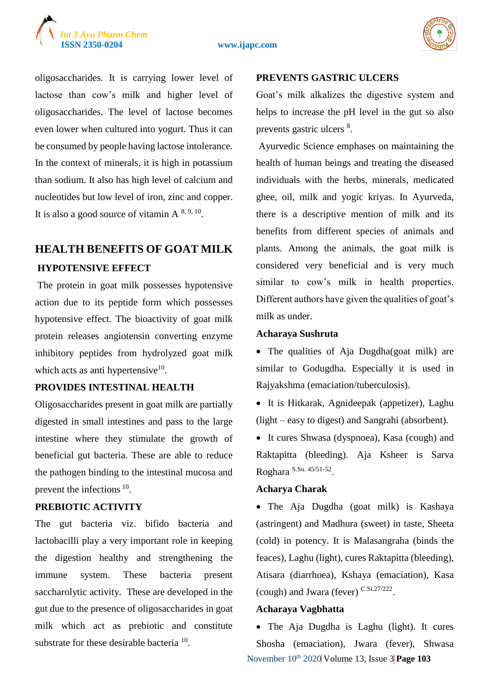

oligosaccharides. It is carrying lower level of lactose than cow's milk and higher level of oligosaccharides. The level of lactose becomes even lower when cultured into yogurt. Thus it can be consumed by people having lactose intolerance. In the context of minerals, it is high in potassium than sodium. It also has high level of calcium and nucleotides but low level of iron, zinc and copper. It is also a good source of vitamin  $A^{8,9,10}$ .

# **HEALTH BENEFITS OF GOAT MILK HYPOTENSIVE EFFECT**

The protein in goat milk possesses hypotensive action due to its peptide form which possesses hypotensive effect. The bioactivity of goat milk protein releases angiotensin converting enzyme inhibitory peptides from hydrolyzed goat milk which acts as anti hypertensive $10$ .

#### **PROVIDES INTESTINAL HEALTH**

Oligosaccharides present in goat milk are partially digested in small intestines and pass to the large intestine where they stimulate the growth of beneficial gut bacteria. These are able to reduce the pathogen binding to the intestinal mucosa and prevent the infections <sup>10</sup>.

### **PREBIOTIC ACTIVITY**

The gut bacteria viz. bifido bacteria and lactobacilli play a very important role in keeping the digestion healthy and strengthening the immune system. These bacteria present saccharolytic activity. These are developed in the gut due to the presence of oligosaccharides in goat milk which act as prebiotic and constitute substrate for these desirable bacteria  $10$ .

#### **PREVENTS GASTRIC ULCERS**

Goat's milk alkalizes the digestive system and helps to increase the pH level in the gut so also prevents gastric ulcers <sup>8</sup>.

Ayurvedic Science emphases on maintaining the health of human beings and treating the diseased individuals with the herbs, minerals, medicated ghee, oil, milk and yogic kriyas. In Ayurveda, there is a descriptive mention of milk and its benefits from different species of animals and plants. Among the animals, the goat milk is considered very beneficial and is very much similar to cow's milk in health properties. Different authors have given the qualities of goat's milk as under.

#### **Acharaya Sushruta**

• The qualities of Aja Dugdha(goat milk) are similar to Godugdha. Especially it is used in Rajyakshma (emaciation/tuberculosis).

 It is Hitkarak, Agnideepak (appetizer), Laghu (light – easy to digest) and Sangrahi (absorbent).

• It cures Shwasa (dyspnoea), Kasa (cough) and Raktapitta (bleeding). Aja Ksheer is Sarva Roghara S.Su. 45/51-52 .

#### **Acharya Charak**

• The Aja Dugdha (goat milk) is Kashaya (astringent) and Madhura (sweet) in taste, Sheeta (cold) in potency. It is Malasangraha (binds the feaces), Laghu (light), cures Raktapitta (bleeding), Atisara (diarrhoea), Kshaya (emaciation), Kasa (cough) and Jwara (fever) C.Si.27/222 .

#### **Acharaya Vagbhatta**

November 10<sup>th</sup> 2020 Volume 13, Issue 3 Page 103 • The Aja Dugdha is Laghu (light). It cures Shosha (emaciation), Jwara (fever), Shwasa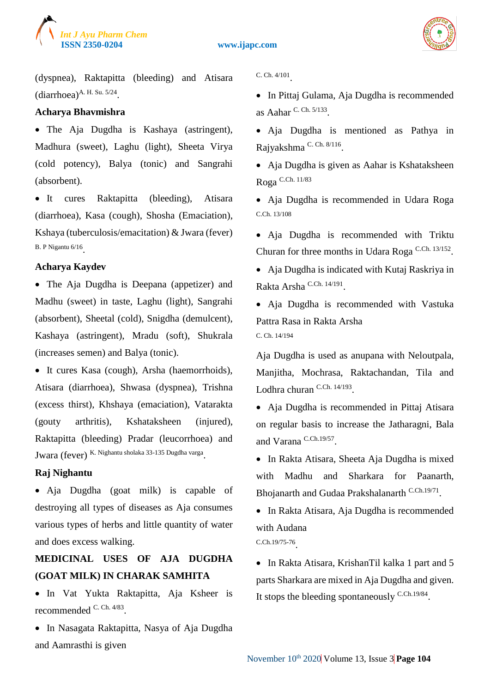



(dyspnea), Raktapitta (bleeding) and Atisara  $(diarchoea)^{A. H. Su. 5/24}.$ 

#### **Acharya Bhavmishra**

 The Aja Dugdha is Kashaya (astringent), Madhura (sweet), Laghu (light), Sheeta Virya (cold potency), Balya (tonic) and Sangrahi (absorbent).

• It cures Raktapitta (bleeding), Atisara (diarrhoea), Kasa (cough), Shosha (Emaciation), Kshaya (tuberculosis/emacitation) & Jwara (fever) B. P Nigantu 6/16 .

#### **Acharya Kaydev**

• The Aja Dugdha is Deepana (appetizer) and Madhu (sweet) in taste, Laghu (light), Sangrahi (absorbent), Sheetal (cold), Snigdha (demulcent), Kashaya (astringent), Mradu (soft), Shukrala (increases semen) and Balya (tonic).

 It cures Kasa (cough), Arsha (haemorrhoids), Atisara (diarrhoea), Shwasa (dyspnea), Trishna (excess thirst), Khshaya (emaciation), Vatarakta (gouty arthritis), Kshataksheen (injured), Raktapitta (bleeding) Pradar (leucorrhoea) and Jwara (fever) K. Nighantu sholaka 33-135 Dugdha varga

#### **Raj Nighantu**

• Aja Dugdha (goat milk) is capable of destroying all types of diseases as Aja consumes various types of herbs and little quantity of water and does excess walking.

# **MEDICINAL USES OF AJA DUGDHA (GOAT MILK) IN CHARAK SAMHITA**

 In Vat Yukta Raktapitta, Aja Ksheer is recommended <sup>C. Ch. 4/83</sup>.

• In Nasagata Raktapitta, Nasya of Aja Dugdha and Aamrasthi is given

C. Ch. 4/101 .

• In Pittaj Gulama, Aja Dugdha is recommended as Aahar C. Ch. 5/133 .

 Aja Dugdha is mentioned as Pathya in Rajyakshma<sup>C. Ch. 8/116</sup>.

• Aja Dugdha is given as Aahar is Kshataksheen Roga C.Ch. 11/83

 Aja Dugdha is recommended in Udara Roga C.Ch. 13/108

 Aja Dugdha is recommended with Triktu Churan for three months in Udara Roga C.Ch. 13/152.

 Aja Dugdha is indicated with Kutaj Raskriya in Rakta Arsha<sup>C.Ch. 14/191</sup>.

• Aja Dugdha is recommended with Vastuka Pattra Rasa in Rakta Arsha C. Ch. 14/194

Aja Dugdha is used as anupana with Neloutpala, Manjitha, Mochrasa, Raktachandan, Tila and Lodhra churan C.Ch. 14/193.

 Aja Dugdha is recommended in Pittaj Atisara on regular basis to increase the Jatharagni, Bala and Varana C.Ch.19/57 .

• In Rakta Atisara, Sheeta Aja Dugdha is mixed with Madhu and Sharkara for Paanarth, Bhojanarth and Gudaa Prakshalanarth C.Ch.19/71.

• In Rakta Atisara, Aja Dugdha is recommended with Audana C.Ch.19/75-76 .

• In Rakta Atisara, KrishanTil kalka 1 part and 5 parts Sharkara are mixed in Aja Dugdha and given. It stops the bleeding spontaneously  $C.C<sub>h.19/84</sub>$ .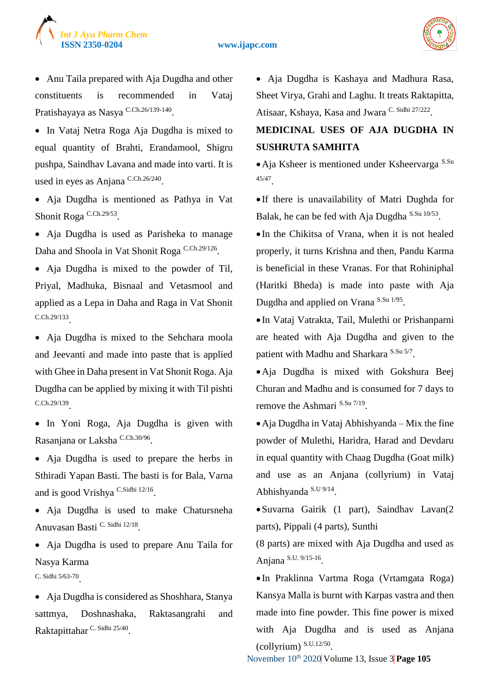

#### **ISSN 2350-0204 www.ijapc.com**



• Anu Taila prepared with Aja Dugdha and other constituents is recommended in Vataj Pratishayaya as Nasya <sup>C.Ch.26/139-140</sup>.

• In Vataj Netra Roga Aja Dugdha is mixed to equal quantity of Brahti, Erandamool, Shigru pushpa, Saindhav Lavana and made into varti. It is used in eyes as Anjana C.Ch.26/240.

 Aja Dugdha is mentioned as Pathya in Vat Shonit Roga<sup>C.Ch.29/53</sup>.

 Aja Dugdha is used as Parisheka to manage Daha and Shoola in Vat Shonit Roga C.Ch.29/126.

 Aja Dugdha is mixed to the powder of Til, Priyal, Madhuka, Bisnaal and Vetasmool and applied as a Lepa in Daha and Raga in Vat Shonit C.Ch.29/133 .

 Aja Dugdha is mixed to the Sehchara moola and Jeevanti and made into paste that is applied with Ghee in Daha present in Vat Shonit Roga. Aja Dugdha can be applied by mixing it with Til pishti C.Ch.29/139 .

• In Yoni Roga, Aja Dugdha is given with Rasanjana or Laksha <sup>C.Ch.30/96</sup>.

• Aja Dugdha is used to prepare the herbs in Sthiradi Yapan Basti. The basti is for Bala, Varna and is good Vrishya<sup>C.Sidhi 12/16</sup>.

 Aja Dugdha is used to make Chatursneha Anuvasan Basti C. Sidhi 12/18.

• Aja Dugdha is used to prepare Anu Taila for Nasya Karma

C. Sidhi 5/63-70 .

 Aja Dugdha is considered as Shoshhara, Stanya sattmya, Doshnashaka, Raktasangrahi and Raktapittahar C. Sidhi 25/40.

 Aja Dugdha is Kashaya and Madhura Rasa, Sheet Virya, Grahi and Laghu. It treats Raktapitta, Atisaar, Kshaya, Kasa and Jwara C. Sidhi 27/222.

# **MEDICINAL USES OF AJA DUGDHA IN SUSHRUTA SAMHITA**

• Aja Ksheer is mentioned under Ksheervarga S.Su 45/47 .

 If there is unavailability of Matri Dughda for Balak, he can be fed with Aja Dugdha S.Su 10/53.

 In the Chikitsa of Vrana, when it is not healed properly, it turns Krishna and then, Pandu Karma is beneficial in these Vranas. For that Rohiniphal (Haritki Bheda) is made into paste with Aja Dugdha and applied on Vrana S.Su 1/95.

 In Vataj Vatrakta, Tail, Mulethi or Prishanparni are heated with Aja Dugdha and given to the patient with Madhu and Sharkara<sup>S.Su 5/7</sup>.

Aja Dugdha is mixed with Gokshura Beej Churan and Madhu and is consumed for 7 days to remove the Ashmari S.Su 7/19.

Aja Dugdha in Vataj Abhishyanda – Mix the fine powder of Mulethi, Haridra, Harad and Devdaru in equal quantity with Chaag Dugdha (Goat milk) and use as an Anjana (collyrium) in Vataj Abhishyanda S.U 9/14.

Suvarna Gairik (1 part), Saindhav Lavan(2 parts), Pippali (4 parts), Sunthi

(8 parts) are mixed with Aja Dugdha and used as Anjana S.U. 9/15-16 .

 In Praklinna Vartma Roga (Vrtamgata Roga) Kansya Malla is burnt with Karpas vastra and then made into fine powder. This fine power is mixed with Aja Dugdha and is used as Anjana (collyrium) S.U.12/50 .

November 10<sup>th</sup> 2020 Volume 13, Issue 3 **Page 105**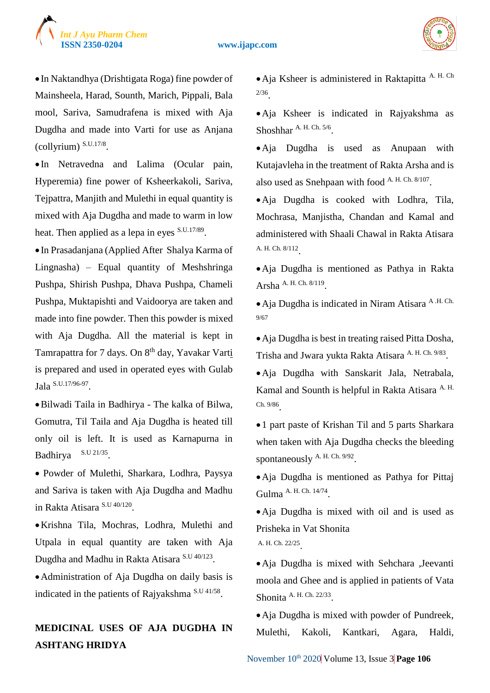



 In Naktandhya (Drishtigata Roga) fine powder of Mainsheela, Harad, Sounth, Marich, Pippali, Bala mool, Sariva, Samudrafena is mixed with Aja Dugdha and made into Varti for use as Anjana (collyrium) S.U.17/8 .

 In Netravedna and Lalima (Ocular pain, Hyperemia) fine power of Ksheerkakoli, Sariva, Tejpattra, Manjith and Mulethi in equal quantity is mixed with Aja Dugdha and made to warm in low heat. Then applied as a lepa in eyes S.U.17/89.

 In Prasadanjana (Applied After Shalya Karma of Lingnasha) – Equal quantity of Meshshringa Pushpa, Shirish Pushpa, Dhava Pushpa, Chameli Pushpa, Muktapishti and Vaidoorya are taken and made into fine powder. Then this powder is mixed with Aja Dugdha. All the material is kept in Tamrapattra for 7 days. On 8<sup>th</sup> day, Yavakar Varti is prepared and used in operated eyes with Gulab Jala S.U.17/96-97 .

Bilwadi Taila in Badhirya - The kalka of Bilwa, Gomutra, Til Taila and Aja Dugdha is heated till only oil is left. It is used as Karnapurna in Badhirya S.U 21/35.

 Powder of Mulethi, Sharkara, Lodhra, Paysya and Sariva is taken with Aja Dugdha and Madhu in Rakta Atisara S.U 40/120 .

Krishna Tila, Mochras, Lodhra, Mulethi and Utpala in equal quantity are taken with Aja Dugdha and Madhu in Rakta Atisara S.U 40/123.

Administration of Aja Dugdha on daily basis is indicated in the patients of Rajyakshma<sup>S.U 41/58</sup>.

# **MEDICINAL USES OF AJA DUGDHA IN ASHTANG HRIDYA**

Aja Ksheer is administered in Raktapitta A. H. Ch 2/36 .

Aja Ksheer is indicated in Rajyakshma as Shoshhar A. H. Ch. 5/6.

Aja Dugdha is used as Anupaan with Kutajavleha in the treatment of Rakta Arsha and is also used as Snehpaan with food A. H. Ch. 8/107.

Aja Dugdha is cooked with Lodhra, Tila, Mochrasa, Manjistha, Chandan and Kamal and administered with Shaali Chawal in Rakta Atisara A. H. Ch. 8/112 .

Aja Dugdha is mentioned as Pathya in Rakta Arsha A. H. Ch. 8/119.

Aja Dugdha is indicated in Niram Atisara A .H. Ch. 9/67

Aja Dugdha is best in treating raised Pitta Dosha, Trisha and Jwara yukta Rakta Atisara A. H. Ch. 9/83.

Aja Dugdha with Sanskarit Jala, Netrabala, Kamal and Sounth is helpful in Rakta Atisara <sup>A. H.</sup> Ch. 9/86 .

1 part paste of Krishan Til and 5 parts Sharkara when taken with Aja Dugdha checks the bleeding spontaneously A. H. Ch. 9/92.

Aja Dugdha is mentioned as Pathya for Pittaj Gulma A. H. Ch. 14/74.

Aja Dugdha is mixed with oil and is used as Prisheka in Vat Shonita A. H. Ch. 22/25 .

Aja Dugdha is mixed with Sehchara ,Jeevanti moola and Ghee and is applied in patients of Vata Shonita A. H. Ch. 22/33.

• Aja Dugdha is mixed with powder of Pundreek, Mulethi, Kakoli, Kantkari, Agara, Haldi,

November 10<sup>th</sup> 2020 Volume 13, Issue 3 **Page 106**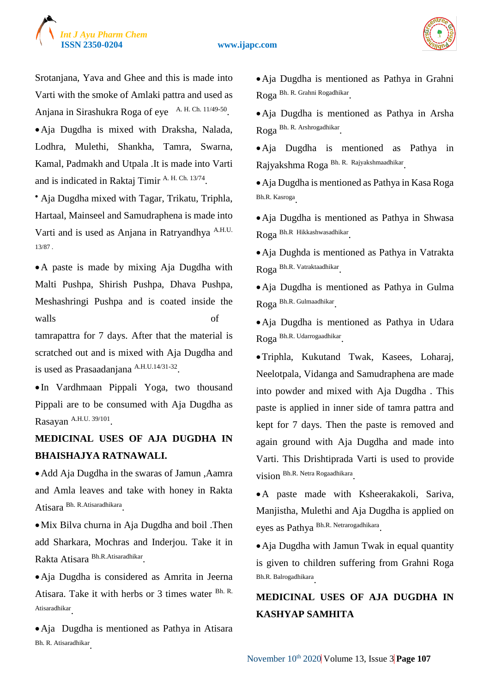



Srotanjana, Yava and Ghee and this is made into Varti with the smoke of Amlaki pattra and used as Anjana in Sirashukra Roga of eye A. H. Ch. 11/49-50. Aja Dugdha is mixed with Draksha, Nalada, Lodhra, Mulethi, Shankha, Tamra, Swarna, Kamal, Padmakh and Utpala .It is made into Varti and is indicated in Raktaj Timir A. H. Ch. 13/74.

 Aja Dugdha mixed with Tagar, Trikatu, Triphla, Hartaal, Mainseel and Samudraphena is made into Varti and is used as Anjana in Ratryandhya A.H.U. 13/87 .

A paste is made by mixing Aja Dugdha with Malti Pushpa, Shirish Pushpa, Dhava Pushpa, Meshashringi Pushpa and is coated inside the walls of

tamrapattra for 7 days. After that the material is scratched out and is mixed with Aja Dugdha and is used as Prasaadanjana A.H.U.14/31-32.

 In Vardhmaan Pippali Yoga, two thousand Pippali are to be consumed with Aja Dugdha as Rasayan A.H.U. 39/101.

# **MEDICINAL USES OF AJA DUGDHA IN BHAISHAJYA RATNAWALI.**

• Add Aja Dugdha in the swaras of Jamun, Aamra and Amla leaves and take with honey in Rakta Atisara Bh. R.Atisaradhikara .

Mix Bilva churna in Aja Dugdha and boil .Then add Sharkara, Mochras and Inderjou. Take it in Rakta Atisara Bh.R.Atisaradhikar .

Aja Dugdha is considered as Amrita in Jeerna Atisara. Take it with herbs or 3 times water Bh. R. Atisaradhikar .

Aja Dugdha is mentioned as Pathya in Atisara Bh. R. Atisaradhikar .

Aja Dugdha is mentioned as Pathya in Grahni Roga Bh. R. Grahni Rogadhikar .

Aja Dugdha is mentioned as Pathya in Arsha Roga Bh. R. Arshrogadhikar .

Aja Dugdha is mentioned as Pathya in Rajyakshma Roga Bh. R. Rajyakshmaadhikar.

Aja Dugdha is mentioned as Pathya in Kasa Roga Bh.R. Kasroga .

Aja Dugdha is mentioned as Pathya in Shwasa Roga Bh.R Hikkashwasadhikar .

Aja Dughda is mentioned as Pathya in Vatrakta Roga Bh.R. Vatraktaadhikar .

Aja Dugdha is mentioned as Pathya in Gulma Roga Bh.R. Gulmaadhikar .

Aja Dugdha is mentioned as Pathya in Udara Roga Bh.R. Udarrogaadhikar .

Triphla, Kukutand Twak, Kasees, Loharaj, Neelotpala, Vidanga and Samudraphena are made into powder and mixed with Aja Dugdha . This paste is applied in inner side of tamra pattra and kept for 7 days. Then the paste is removed and again ground with Aja Dugdha and made into Varti. This Drishtiprada Varti is used to provide vision Bh.R. Netra Rogaadhikara .

A paste made with Ksheerakakoli, Sariva, Manjistha, Mulethi and Aja Dugdha is applied on eyes as Pathya Bh.R. Netrarogadhikara.

• Aja Dugdha with Jamun Twak in equal quantity is given to children suffering from Grahni Roga Bh.R. Balrogadhikara .

# **MEDICINAL USES OF AJA DUGDHA IN KASHYAP SAMHITA**

November 10<sup>th</sup> 2020 Volume 13, Issue 3 **Page 107**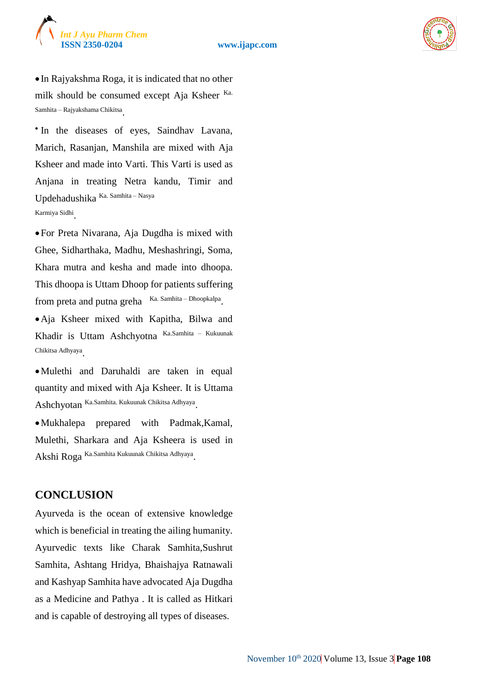



 In Rajyakshma Roga, it is indicated that no other milk should be consumed except Aja Ksheer Ka. Samhita – Rajyakshama Chikitsa .

'In the diseases of eyes, Saindhav Lavana, Marich, Rasanjan, Manshila are mixed with Aja Ksheer and made into Varti. This Varti is used as Anjana in treating Netra kandu, Timir and Updehadushika Ka. Samhita – Nasya Karmiya Sidhi .

For Preta Nivarana, Aja Dugdha is mixed with Ghee, Sidharthaka, Madhu, Meshashringi, Soma, Khara mutra and kesha and made into dhoopa. This dhoopa is Uttam Dhoop for patients suffering from preta and putna greha Ka. Samhita – Dhoopkalpa.

Aja Ksheer mixed with Kapitha, Bilwa and Khadir is Uttam Ashchyotna Ka.Samhita – Kukuunak Chikitsa Adhyaya .

Mulethi and Daruhaldi are taken in equal quantity and mixed with Aja Ksheer. It is Uttama Ashchyotan Ka.Samhita. Kukuunak Chikitsa Adhyaya.

Mukhalepa prepared with Padmak,Kamal, Mulethi, Sharkara and Aja Ksheera is used in Akshi Roga Ka.Samhita Kukuunak Chikitsa Adhyaya .

## **CONCLUSION**

Ayurveda is the ocean of extensive knowledge which is beneficial in treating the ailing humanity. Ayurvedic texts like Charak Samhita,Sushrut Samhita, Ashtang Hridya, Bhaishajya Ratnawali and Kashyap Samhita have advocated Aja Dugdha as a Medicine and Pathya . It is called as Hitkari and is capable of destroying all types of diseases.